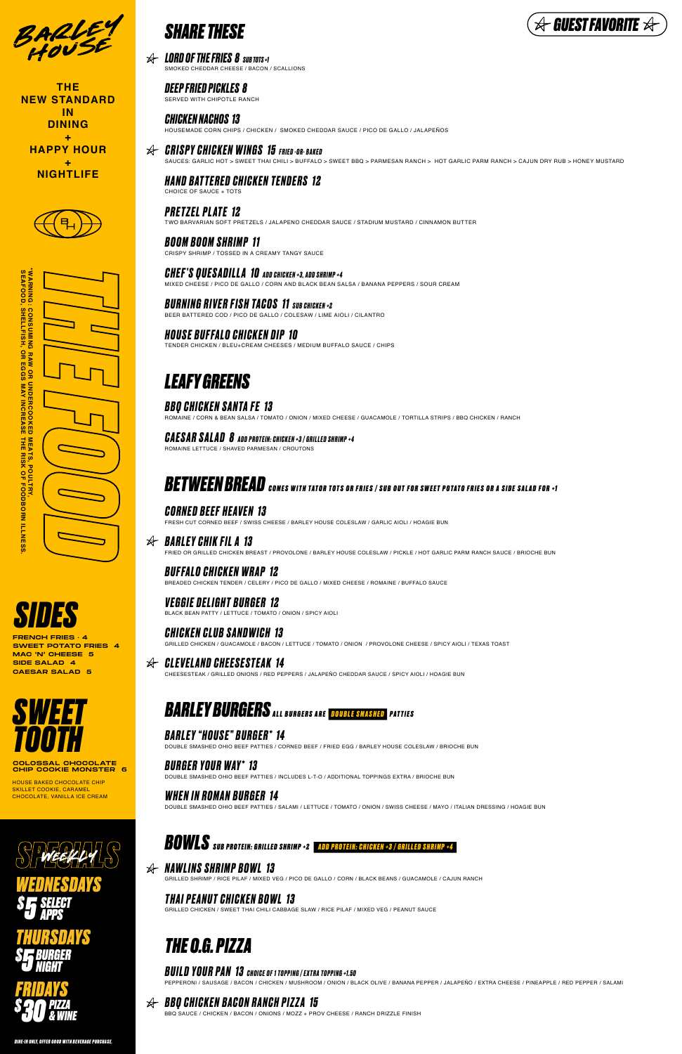# *BOWLS SUB PROTEIN: GRILLED SHRIMP +2 ADD PROTEIN: CHICKEN +3 / GRILLED SHRIMP +4*



BARLEY

**THE NEW STANDARD IN DINING + HAPPY HOUR + NIGHTLIFE**





HOUSE BAKED CHOCOLATE CHIP SKILLET COOKIE, CARAMEL CHOCOLATE, VANILLA ICE CREAM

SPECIALS *WEDNESDAYS \$ 5 SELECT APPS THURSDAYS*





FRENCH FRIES · 4 SWEET POTATO FRIES 4 MAC 'N' CHEESE 5 SIDE SALAD 4 CAESAR SALAD 5







*CRISPY CHICKEN WINGS 15 FRIED -OR- BAKED* SAUCES: GARLIC HOT > SWEET THAI CHILI > BUFFALO > SWEET BBQ > PARMESAN RANCH > HOT GARLIC PARM RANCH > CAJUN DRY RUB > HONEY MUSTARD

#### CHOICE OF SAUCE + TOTS *HAND BAT TERED CHICKEN TENDERS 12*

SERVED WITH CHIPOTLE RANCH *DEEP FRIED PICKLES 8*

TWO BARVARIAN SOFT PRETZELS / JALAPENO CHEDDAR SAUCE / STADIUM MUSTARD / CINNAMON BUTTER *PRETZEL PL ATE 12*

CRISPY SHRIMP / TOSSED IN A CREAMY TANGY SAUCE *BOOM BOOM SHRIMP 11*

TENDER CHICKEN / BLEU+CREAM CHEESES / MEDIUM BUFFALO SAUCE / CHIPS *HOUSE BUFFALO CHICKEN DIP 10*

MIXED CHEESE / PICO DE GALLO / CORN AND BLACK BEAN SALSA / BANANA PEPPERS / SOUR CREAM *CHEF'S QUESADILLA 10 ADD CHICKEN +3, ADD SHRIMP +4*

BEER BATTERED COD / PICO DE GALLO / COLESAW / LIME AIOLI / CILANTRO *BURNING RIVER FISH TACOS 11 SUB CHICKEN +2*

SMOKED CHEDDAR CHEESE / BACON / SCALLIONS *LORD OF THE FRIES 8 SUB TOTS +1*

HOUSEMADE CORN CHIPS / CHICKEN / SMOKED CHEDDAR SAUCE / PICO DE GALLO / JALAPEÑOS *CHICKEN NACHOS 13*

ROMAINE / CORN & BEAN SALSA / TOMATO / ONION / MIXED CHEESE / GUACAMOLE / TORTILLA STRIPS / BBQ CHICKEN / RANCH *BBQ CHICKEN SANTA FE 13*

ROMAINE LETTUCE / SHAVED PARMESAN / CROUTONS *CAESAR SALAD 8 ADD PROTEIN: CHICKEN +3 / GRILLED SHRIMP +4*

# **BETWEEN BREAD** comes with tator tots or fries / sub out for sweet potato fries or a side salad for +1

# *LEAFY GREENS*

FRESH CUT CORNED BEEF / SWISS CHEESE / BARLEY HOUSE COLESLAW / GARLIC AIOLI / HOAGIE BUN *CORNED BEEF HEAVEN 13*

FRIED OR GRILLED CHICKEN BREAST / PROVOLONE / BARLEY HOUSE COLESLAW / PICKLE / HOT GARLIC PARM RANCH SAUCE / BRIOCHE BUN

## *BARLEY CHIK FIL A 13*

DOUBLE SMASHED OHIO BEEF PATTIES / CORNED BEEF / FRIED EGG / BARLEY HOUSE COLESLAW / BRIOCHE BUN

## *BARLEY "HOUSE" BURGER\* 14*

DOUBLE SMASHED OHIO BEEF PATTIES / INCLUDES L-T-O / ADDITIONAL TOPPINGS EXTRA / BRIOCHE BUN

## *BURGER YOUR WAY\* 13*

BLACK BEAN PATTY / LETTUCE / TOMATO / ONION / SPICY AIOLI

## *VEGGIE DELIGHT BURGER 12*

GRILLED CHICKEN / GUACAMOLE / BACON / LETTUCE / TOMATO / ONION / PROVOLONE CHEESE / SPICY AIOLI / TEXAS TOAST

### *CHICKEN CLUB SANDWICH 13*

DOUBLE SMASHED OHIO BEEF PATTIES / SALAMI / LETTUCE / TOMATO / ONION / SWISS CHEESE / MAYO / ITALIAN DRESSING / HOAGIE BUN

## *WHEN IN ROMAN BURGER 14*

CHEESESTEAK / GRILLED ONIONS / RED PEPPERS / JALAPEÑO CHEDDAR SAUCE / SPICY AIOLI / HOAGIE BUN

# **BARLEY BURGERS** ALL BURGERS ARE DOUBLE SMASHED PATTIES

#### *CLEVELAND CHEESESTEAK 14*

BREADED CHICKEN TENDER / CELERY / PICO DE GALLO / MIXED CHEESE / ROMAINE / BUFFALO SAUCE

## *BUFFALO CHICKEN WRAP 12*

# *THE O.G. PIZZA*

## **BUILD YOUR PAN 13** CHOICE OF 1 TOPPING / EXTRA TOPPING +1.50

PEPPERONI / SAUSAGE / BACON / CHICKEN / MUSHROOM / ONION / BLACK OLIVE / BANANA PEPPER / JALAPEÑO / EXTRA CHEESE / PINEAPPLE / RED PEPPER / SALAMI

BBQ SAUCE / CHICKEN / BACON / ONIONS / MOZZ + PROV CHEESE / RANCH DRIZZLE FINISH

## *BBQ CHICKEN BACON RANCH PIZZA 15*

GRILLED CHICKEN / SWEET THAI CHILI CABBAGE SLAW / RICE PILAF / MIXED VEG / PEANUT SAUCE

## *THAI PEANUT CHICKEN BOWL 13*

GRILLED SHRIMP / RICE PILAF / MIXED VEG / PICO DE GALLO / CORN / BLACK BEANS / GUACAMOLE / CAJUN RANCH

## *NAWLINS SHRIMP BOWL 13*